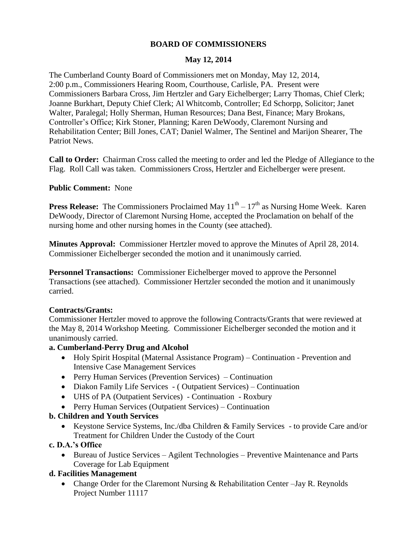### **BOARD OF COMMISSIONERS**

## **May 12, 2014**

The Cumberland County Board of Commissioners met on Monday, May 12, 2014, 2:00 p.m., Commissioners Hearing Room, Courthouse, Carlisle, PA. Present were Commissioners Barbara Cross, Jim Hertzler and Gary Eichelberger; Larry Thomas, Chief Clerk; Joanne Burkhart, Deputy Chief Clerk; Al Whitcomb, Controller; Ed Schorpp, Solicitor; Janet Walter, Paralegal; Holly Sherman, Human Resources; Dana Best, Finance; Mary Brokans, Controller's Office; Kirk Stoner, Planning; Karen DeWoody, Claremont Nursing and Rehabilitation Center; Bill Jones, CAT; Daniel Walmer, The Sentinel and Marijon Shearer, The Patriot News.

**Call to Order:** Chairman Cross called the meeting to order and led the Pledge of Allegiance to the Flag. Roll Call was taken. Commissioners Cross, Hertzler and Eichelberger were present.

**Public Comment:** None

**Press Release:** The Commissioners Proclaimed May  $11<sup>th</sup> - 17<sup>th</sup>$  as Nursing Home Week. Karen DeWoody, Director of Claremont Nursing Home, accepted the Proclamation on behalf of the nursing home and other nursing homes in the County (see attached).

**Minutes Approval:** Commissioner Hertzler moved to approve the Minutes of April 28, 2014. Commissioner Eichelberger seconded the motion and it unanimously carried.

**Personnel Transactions:** Commissioner Eichelberger moved to approve the Personnel Transactions (see attached). Commissioner Hertzler seconded the motion and it unanimously carried.

### **Contracts/Grants:**

Commissioner Hertzler moved to approve the following Contracts/Grants that were reviewed at the May 8, 2014 Workshop Meeting. Commissioner Eichelberger seconded the motion and it unanimously carried.

### **a. Cumberland-Perry Drug and Alcohol**

- Holy Spirit Hospital (Maternal Assistance Program) Continuation Prevention and Intensive Case Management Services
- Perry Human Services (Prevention Services) Continuation
- Diakon Family Life Services (Outpatient Services) Continuation
- UHS of PA (Outpatient Services) Continuation Roxbury
- Perry Human Services (Outpatient Services) Continuation

### **b. Children and Youth Services**

 Keystone Service Systems, Inc./dba Children & Family Services - to provide Care and/or Treatment for Children Under the Custody of the Court

### **c. D.A.'s Office**

 Bureau of Justice Services – Agilent Technologies – Preventive Maintenance and Parts Coverage for Lab Equipment

# **d. Facilities Management**

• Change Order for the Claremont Nursing & Rehabilitation Center –Jay R. Reynolds Project Number 11117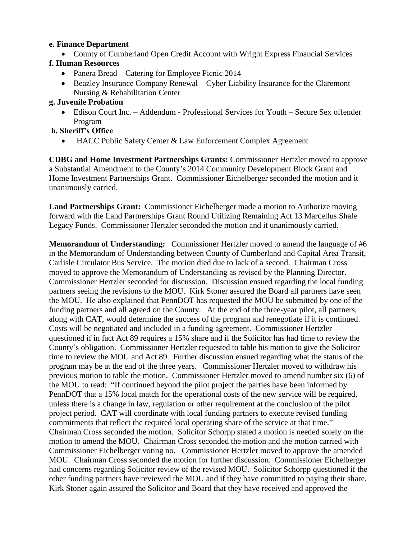### **e. Finance Department**

County of Cumberland Open Credit Account with Wright Express Financial Services

# **f. Human Resources**

- Panera Bread Catering for Employee Picnic 2014
- Beazley Insurance Company Renewal Cyber Liability Insurance for the Claremont Nursing & Rehabilitation Center

## **g. Juvenile Probation**

 Edison Court Inc. – Addendum - Professional Services for Youth – Secure Sex offender Program

# **h. Sheriff's Office**

HACC Public Safety Center & Law Enforcement Complex Agreement

**CDBG and Home Investment Partnerships Grants:** Commissioner Hertzler moved to approve a Substantial Amendment to the County's 2014 Community Development Block Grant and Home Investment Partnerships Grant. Commissioner Eichelberger seconded the motion and it unanimously carried.

**Land Partnerships Grant:** Commissioner Eichelberger made a motion to Authorize moving forward with the Land Partnerships Grant Round Utilizing Remaining Act 13 Marcellus Shale Legacy Funds. Commissioner Hertzler seconded the motion and it unanimously carried.

**Memorandum of Understanding:** Commissioner Hertzler moved to amend the language of #6 in the Memorandum of Understanding between County of Cumberland and Capital Area Transit, Carlisle Circulator Bus Service. The motion died due to lack of a second. Chairman Cross moved to approve the Memorandum of Understanding as revised by the Planning Director. Commissioner Hertzler seconded for discussion. Discussion ensued regarding the local funding partners seeing the revisions to the MOU. Kirk Stoner assured the Board all partners have seen the MOU. He also explained that PennDOT has requested the MOU be submitted by one of the funding partners and all agreed on the County. At the end of the three-year pilot, all partners, along with CAT, would determine the success of the program and renegotiate if it is continued. Costs will be negotiated and included in a funding agreement. Commissioner Hertzler questioned if in fact Act 89 requires a 15% share and if the Solicitor has had time to review the County's obligation. Commissioner Hertzler requested to table his motion to give the Solicitor time to review the MOU and Act 89. Further discussion ensued regarding what the status of the program may be at the end of the three years. Commissioner Hertzler moved to withdraw his previous motion to table the motion. Commissioner Hertzler moved to amend number six (6) of the MOU to read: "If continued beyond the pilot project the parties have been informed by PennDOT that a 15% local match for the operational costs of the new service will be required, unless there is a change in law, regulation or other requirement at the conclusion of the pilot project period. CAT will coordinate with local funding partners to execute revised funding commitments that reflect the required local operating share of the service at that time." Chairman Cross seconded the motion. Solicitor Schorpp stated a motion is needed solely on the motion to amend the MOU. Chairman Cross seconded the motion and the motion carried with Commissioner Eichelberger voting no. Commissioner Hertzler moved to approve the amended MOU. Chairman Cross seconded the motion for further discussion. Commissioner Eichelberger had concerns regarding Solicitor review of the revised MOU. Solicitor Schorpp questioned if the other funding partners have reviewed the MOU and if they have committed to paying their share. Kirk Stoner again assured the Solicitor and Board that they have received and approved the